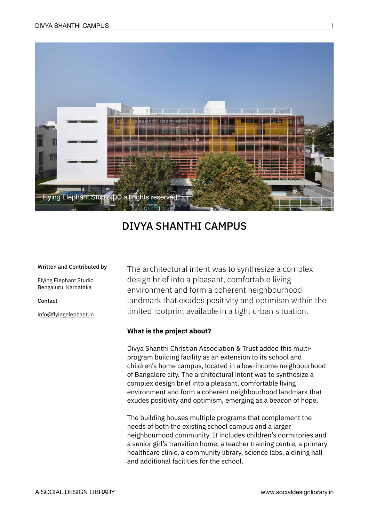

# DIVYA SHANTHI CAMPUS

#### Written and Contributed by

[Flying Elephant Studio](https://www.flyingelephant.in/) Bengaluru, Karnataka

Contact

[info@flyingelephant.in](mailto:info@flyingelephant.in)

The architectural intent was to synthesize a complex design brief into a pleasant, comfortable living environment and form a coherent neighbourhood landmark that exudes positivity and optimism within the limited footprint available in a tight urban situation.

### **What is the project about?**

Divya Shanthi Christian Association & Trust added this multiprogram building facility as an extension to its school and children's home campus, located in a low-income neighbourhood of Bangalore city. The architectural intent was to synthesize a complex design brief into a pleasant, comfortable living environment and form a coherent neighbourhood landmark that exudes positivity and optimism, emerging as a beacon of hope.

The building houses multiple programs that complement the needs of both the existing school campus and a larger neighbourhood community. It includes children's dormitories and a senior girl's transition home, a teacher training centre, a primary healthcare clinic, a community library, science labs, a dining hall and additional facilities for the school.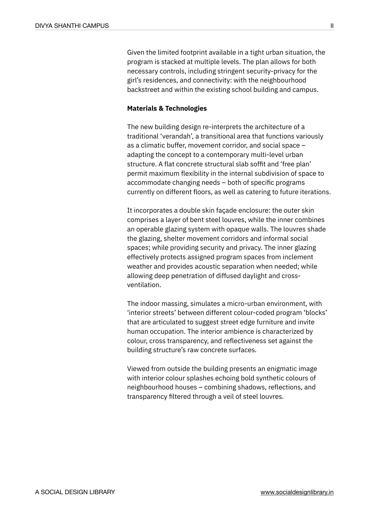Given the limited footprint available in a tight urban situation, the program is stacked at multiple levels. The plan allows for both necessary controls, including stringent security-privacy for the girl's residences, and connectivity: with the neighbourhood backstreet and within the existing school building and campus.

# **Materials & Technologies**

The new building design re-interprets the architecture of a traditional 'verandah', a transitional area that functions variously as a climatic buffer, movement corridor, and social space – adapting the concept to a contemporary multi-level urban structure. A flat concrete structural slab soffit and 'free plan' permit maximum flexibility in the internal subdivision of space to accommodate changing needs – both of specific programs currently on different floors, as well as catering to future iterations.

It incorporates a double skin façade enclosure: the outer skin comprises a layer of bent steel louvres, while the inner combines an operable glazing system with opaque walls. The louvres shade the glazing, shelter movement corridors and informal social spaces; while providing security and privacy. The inner glazing effectively protects assigned program spaces from inclement weather and provides acoustic separation when needed; while allowing deep penetration of diffused daylight and crossventilation.

The indoor massing, simulates a micro-urban environment, with 'interior streets' between different colour-coded program 'blocks' that are articulated to suggest street edge furniture and invite human occupation. The interior ambience is characterized by colour, cross transparency, and reflectiveness set against the building structure's raw concrete surfaces.

Viewed from outside the building presents an enigmatic image with interior colour splashes echoing bold synthetic colours of neighbourhood houses – combining shadows, reflections, and transparency filtered through a veil of steel louvres.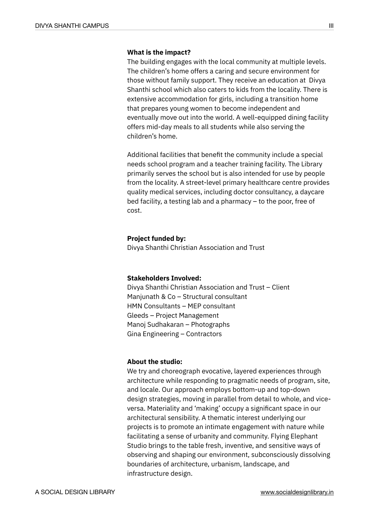## **What is the impact?**

The building engages with the local community at multiple levels. The children's home offers a caring and secure environment for those without family support. They receive an education at Divya Shanthi school which also caters to kids from the locality. There is extensive accommodation for girls, including a transition home that prepares young women to become independent and eventually move out into the world. A well-equipped dining facility offers mid-day meals to all students while also serving the children's home.

Additional facilities that benefit the community include a special needs school program and a teacher training facility. The Library primarily serves the school but is also intended for use by people from the locality. A street-level primary healthcare centre provides quality medical services, including doctor consultancy, a daycare bed facility, a testing lab and a pharmacy – to the poor, free of cost.

#### **Project funded by:**

Divya Shanthi Christian Association and Trust

#### **Stakeholders Involved:**

Divya Shanthi Christian Association and Trust – Client Manjunath & Co – Structural consultant HMN Consultants – MEP consultant Gleeds – Project Management Manoj Sudhakaran – Photographs Gina Engineering – Contractors

#### **About the studio:**

We try and choreograph evocative, layered experiences through architecture while responding to pragmatic needs of program, site, and locale. Our approach employs bottom-up and top-down design strategies, moving in parallel from detail to whole, and viceversa. Materiality and 'making' occupy a significant space in our architectural sensibility. A thematic interest underlying our projects is to promote an intimate engagement with nature while facilitating a sense of urbanity and community. Flying Elephant Studio brings to the table fresh, inventive, and sensitive ways of observing and shaping our environment, subconsciously dissolving boundaries of architecture, urbanism, landscape, and infrastructure design.